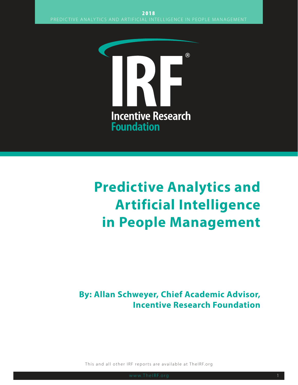

# **Predictive Analytics and Artificial Intelligence in People Management**

**By: Allan Schweyer, Chief Academic Advisor, Incentive Research Foundation**

This and all other IRF reports are available at TheIRF.org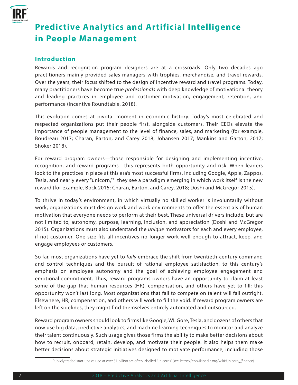

# **Predictive Analytics and Artificial Intelligence in People Management**

#### **Introduction**

Rewards and recognition program designers are at a crossroads. Only two decades ago practitioners mainly provided sales managers with trophies, merchandise, and travel rewards. Over the years, their focus shifted to the design of incentive reward and travel programs. Today, many practitioners have become true *professionals* with deep knowledge of motivational theory and leading practices in employee and customer motivation, engagement, retention, and performance (Incentive Roundtable, 2018).

This evolution comes at pivotal moment in economic history. Today's most celebrated and respected organizations put their people first, alongside customers. Their CEOs elevate the importance of people management to the level of finance, sales, and marketing (for example, Boudreau 2017; Charan, Barton, and Carey 2018; Johansen 2017; Mankins and Garton, 2017; Shoker 2018).

For reward program owners—those responsible for designing and implementing incentive, recognition, and reward programs—this represents both opportunity and risk. When leaders look to the practices in place at this era's most successful firms, including Google, Apple, Zappos, Tesla, and nearly every "unicorn,"1 they see a paradigm emerging in which work itself is the new reward (for example, Bock 2015; Charan, Barton, and Carey, 2018; Doshi and McGregor 2015).

To thrive in today's environment, in which virtually no skilled worker is involuntarily without work, organizations must design work and work environments to offer the essentials of human motivation that everyone needs to perform at their best. These universal drivers include, but are not limited to, autonomy, purpose, learning, inclusion, and appreciation (Doshi and McGregor 2015). Organizations must also understand the *unique* motivators for each and every employee, if not customer. One-size-fits-all incentives no longer work well enough to attract, keep, and engage employees or customers.

So far, most organizations have yet to *fully* embrace the shift from twentieth-century command and control techniques and the pursuit of rational employee satisfaction, to this century's emphasis on employee autonomy and the goal of achieving employee engagement and emotional commitment. Thus, reward programs owners have an opportunity to claim at least some of the gap that human resources (HR), compensation, and others have yet to fill; this opportunity won't last long. Most organizations that fail to compete on talent will fail outright. Elsewhere, HR, compensation, and others will work to fill the void. If reward program owners are left on the sidelines, they might find themselves entirely automated and outsourced.

Reward program owners should look to firms like Google, WL Gore, Tesla, and dozens of others that now use big data, predictive analytics, and machine learning techniques to monitor and analyze their talent continuously. Such usage gives those firms the ability to make better decisions about how to recruit, onboard, retain, develop, and motivate their people. It also helps them make better decisions about strategic initiatives designed to motivate performance, including those

<sup>1</sup> Publicly traded start-ups valued at over \$1 billion are often labelled "unicorns" (see: https://en.wikipedia.org/wiki/Unicorn\_(finance)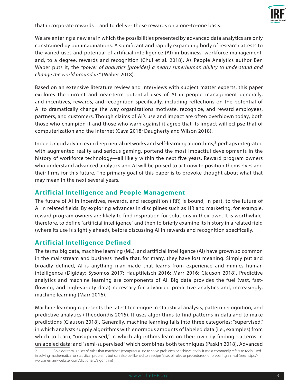

that incorporate rewards—and to deliver those rewards on a one-to-one basis.

We are entering a new era in which the possibilities presented by advanced data analytics are only constrained by our imaginations. A significant and rapidly expanding body of research attests to the varied uses and potential of artificial intelligence (AI) in business, workforce management, and, to a degree, rewards and recognition (Chui et al. 2018). As People Analytics author Ben Waber puts it, the *"power of analytics [provides] a nearly superhuman ability to understand and change the world around us"* (Waber 2018).

Based on an extensive literature review and interviews with subject matter experts, this paper explores the current and near-term potential uses of AI in people management generally, and incentives, rewards, and recognition specifically, including reflections on the potential of AI to dramatically change the way organizations motivate, recognize, and reward employees, partners, and customers. Though claims of AI's use and impact are often overblown today, both those who champion it and those who warn against it agree that its impact will eclipse that of computerization and the internet (Cava 2018; Daugherty and Wilson 2018).

Indeed, rapid advances in deep neural networks and self-learning algorithms, $^2$  perhaps integrated with augmented reality and serious gaming, portend the most impactful developments in the history of workforce technology—all likely within the next five years. Reward program owners who understand advanced analytics and AI will be poised to act now to position themselves and their firms for this future. The primary goal of this paper is to provoke thought about what that may mean in the next several years.

#### **Artificial Intelligence and People Management**

The future of AI in incentives, rewards, and recognition (IRR) is bound, in part, to the future of AI in related fields. By exploring advances in disciplines such as HR and marketing, for example, reward program owners are likely to find inspiration for solutions in their own. It is worthwhile, therefore, to define "artificial intelligence" and then to briefly examine its history in a related field (where its use is slightly ahead), before discussing AI in rewards and recognition specifically.

#### **Artificial Intelligence Defined**

The terms big data, machine learning (ML), and artificial intelligence (AI) have grown so common in the mainstream and business media that, for many, they have lost meaning. Simply put and broadly defined, AI is anything man-made that learns from experience and mimics human intelligence (Digiday; Sysomos 2017; Hauptfleisch 2016; Marr 2016; Clauson 2018). Predictive analytics and machine learning are components of AI. Big data provides the fuel (vast, fastflowing, and high-variety data) necessary for advanced predictive analytics and, increasingly, machine learning (Marr 2016).

Machine learning represents the latest technique in statistical analysis, pattern recognition, and predictive analytics (Theodoridis 2015). It uses algorithms to find patterns in data and to make predictions (Clauson 2018). Generally, machine learning falls into three categories: "supervised," in which analysts supply algorithms with enormous amounts of labeled data (i.e., examples) from which to learn; "unsupervised," in which algorithms learn on their own by finding patterns in unlabeled data; and "semi-supervised" which combines both techniques (Paskin 2018). Advanced

<sup>2</sup> An algorithm is a set of rules that machines (computers) use to solve problems or achieve goals. It most commonly refers to tools used in solving mathematical or statistical problems but can also be likened to a recipe (a set of rules or procedures) for preparing a meal (see: https:// www.merriam-webster.com/dictionary/algorithm)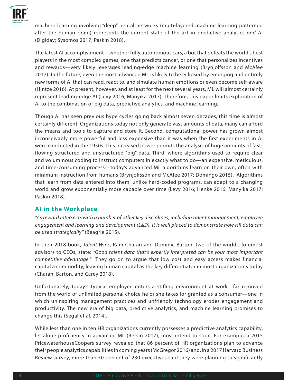

machine learning involving "deep" neural networks (multi-layered machine learning patterned after the human brain) represents the current state of the art in predictive analytics *and* AI (Digiday; Sysomos 2017; Paskin 2018).

The latest AI accomplishment—whether fully autonomous cars, a bot that defeats the world's best players in the most complex games, one that predicts cancer, or one that personalizes incentives and rewards—very likely leverages leading-edge machine learning (Brynjolfsson and McAfee 2017). In the future, even the most advanced ML is likely to be eclipsed by emerging and entirely new forms of AI that can read, react to, and simulate human emotions or even become self-aware (Hintze 2016). At present, however, and at least for the next several years, ML will almost certainly represent leading-edge AI (Levy 2016; Manyika 2017). Therefore, this paper limits exploration of AI to the combination of big data, predictive analytics, and machine learning.

Though AI has seen previous hype cycles going back almost seven decades, this time is almost certainly different. Organizations today not only generate vast amounts of data, many can afford the means and tools to capture and store it. Second, computational power has grown almost inconceivably more powerful and less expensive than it was when the first experiments in AI were conducted in the 1950s. This increased power permits the analysis of huge amounts of fastflowing structured and unstructured "big" data. Third, where algorithms used to require clear and voluminous coding to instruct computers in exactly what to do—an expensive, meticulous, and time-consuming process—today's advanced ML algorithms learn on their own, often with minimum instruction from humans (Brynjolfsson and McAfee 2017; Domingo 2015). Algorithms that learn from data entered into them, unlike hard-coded programs, can adapt to a changing world and grow exponentially more capable over time (Levy 2016; Henke 2016; Manyika 2017; Paskin 2018).

#### **AI in the Workplace**

*"As reward intersects with a number of other key disciplines, including talent management, employee engagement and learning and development (L&D), it is well placed to demonstrate how HR data can be used strategically"* (Beagrie 2015).

In their 2018 book, *Talent Wins*, Ram Charan and Dominic Barton, two of the world's foremost advisors to CEOs, state: *"Good talent data that's expertly interpreted can be your most important competitive advantage."* They go on to argue that low cost and easy access makes financial capital a commodity, leaving human capital as the key differentiator in most organizations today (Charan, Barton, and Carey 2018).

Unfortunately, today's typical employee enters a stifling environment at work—far removed from the world of unlimited personal choice he or she takes for granted as a consumer—one in which uninspiring management practices and unfriendly technology erodes engagement and productivity. The new era of big data, predictive analytics, and machine learning promises to change this (Segal et al. 2014).

While less than one in ten HR organizations currently possesses a predictive analytics capability, let alone proficiency in advanced ML (Bersin 2017), most intend to soon. For example, a 2015 PricewaterhouseCoopers survey revealed that 86 percent of HR organizations plan to advance their people analytics capabilities in coming years (McGregor 2016) and, in a 2017 Harvard Business Review survey, more than 50 percent of 230 executives said they were planning to significantly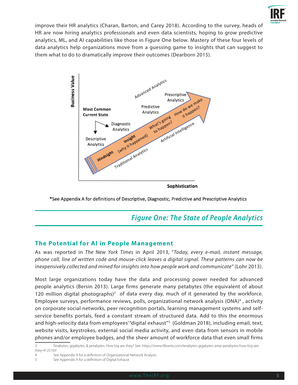

improve their HR analytics (Charan, Barton, and Carey 2018). According to the survey, heads of HR are now hiring analytics professionals and even data scientists, hoping to grow predictive analytics, ML, and AI capabilities like those in Figure One below. Mastery of these four levels of data analytics help organizations move from a guessing game to insights that can suggest to them what to do to dramatically improve their outcomes (Dearborn 2015).



\*See Appendix A for definitions of Descriptive, Diagnostic, Predictive and Prescriptive Analytics

## *Figure One: The State of People Analytics*

#### **The Potential for AI in People Management**

As was reported in *The New York Times* in April 2013, "*Today, every e-mail, instant message, phone call, line of written code and mouse-click leaves a digital signal. These patterns can now be inexpensively collected and mined for insights into how people work and communicate"* (Lohr 2013).

Most large organizations today have the data and processing power needed for advanced people analytics (Bersin 2013). Large firms generate many petabytes (the equivalent of about 120 million digital photographs)<sup>3</sup> of data every day, much of it generated by the workforce. Employee surveys, performance reviews, polls, organizational network analysis (ONA)<sup>4</sup>, activity on corporate social networks, peer recognition portals, learning management systems and selfservice benefits portals, feed a constant stream of structured data. Add to this the enormous and high-velocity data from employees' "digital exhaust"5 (Goldman 2018), including email, text, website visits, keystrokes, external social media activity, and even data from sensors in mobile phones and/or employee badges, and the sheer amount of workforce data that even small firms

<sup>3</sup> Terabytes, gigabytes, & petabytes: How big are they? See: https://www.lifewire.com/terabytes-gigabytes-amp-petabytes-how-big-arethey-4125169

<sup>4</sup> See Appendix A for a definition of Organizational Network Analysis

<sup>5</sup> See Appendix A for a definition of Digital Exhaust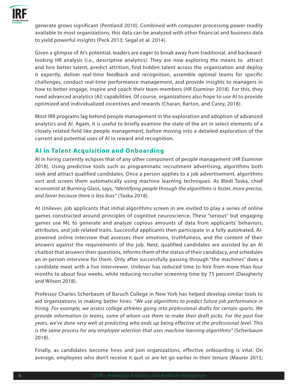

generate grows significant (Pentland 2010). Combined with computer processing power readily available to most organizations, this data can be analyzed with other financial and business data to yield powerful insights (Peck 2013; Segal et al. 2014).

Given a glimpse of AI's potential, leaders are eager to break away from traditional, and backwardlooking HR analysis (i.e., descriptive analytics). They are now exploring the means to attract and hire better talent, predict attrition, find hidden talent across the organization and deploy it expertly, deliver real-time feedback and recognition, assemble optimal teams for specific challenges, conduct real-time performance management, and provide insights to managers in how to better engage, inspire and coach their team-members (*HR Examiner* 2018). For this, they need advanced analytics (AI) capabilities. Of course, organizations also hope to use AI to provide optimized and individualized incentives and rewards (Charan, Barton, and Carey, 2018).

Most IRR programs lag behind people management in the exploration and adoption of advanced analytics and AI. Again, it is useful to briefly examine the state of the art in select elements of a closely related field like people management, before moving into a detailed exploration of the current and potential uses of AI in reward and recognition.

### **AI in Talent Acquisition and Onboarding**

AI in hiring currently eclipses that of any other component of people management (*HR Examiner*  2018). Using predictive tools such as programmatic recruitment advertising, algorithms both seek and attract qualified candidates. Once a person applies to a job advertisement, algorithms sort and screen them automatically using machine learning techniques. As Bledi Taska, chief economist at Burning Glass, says, *"Identifying people through the algorithms is faster, more precise, and fairer because there is less bias"* (Taska 2018).

At Unilever, job applicants that initial algorithms screen in are invited to play a series of online games constructed around principles of cognitive neuroscience. These "serious" but engaging games use ML to generate and analyze copious amounts of data from applicants' behaviors, attributes, and job-related traits. Successful applicants then participate in a fully automated, AIpowered online interview that assesses their emotions, truthfulness, and the content of their answers against the requirements of the job. Next, qualified candidates are assisted by an AI chatbot that answers their questions, informs them of the status of their candidacy, and schedules an in-person interview for them. Only after successfully passing through "the machines" does a candidate meet with a live interviewer. Unilever has reduced time to hire from more than four months to about four weeks, while reducing recruiter screening time by 75 percent (Daugherty and Wilson 2018).

Professor Charles Scherbaum of Baruch College in New York has helped develop similar tools to aid organizations in making better hires: *"We use algorithms to predict future job performance in hiring. For example, we assess college athletes going into professional drafts for certain sports. We provide information to teams, some of whom use them to make their draft picks. For the past five years, we've done very well at predicting who ends up being effective at the professional level. This is the same process for any employee selection that uses machine learning algorithms"* (Scherbaum 2018).

Finally, as candidates become hires and join organizations, effective onboarding is vital. On average, employees who don't receive it quit or are let go earlier in their tenure (Maurer 2015;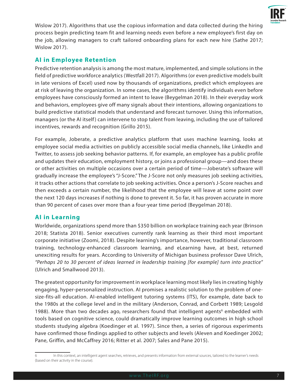

Wislow 2017). Algorithms that use the copious information and data collected during the hiring process begin predicting team fit and learning needs even before a new employee's first day on the job, allowing managers to craft tailored onboarding plans for each new hire (Sathe 2017; Wislow 2017).

### **AI in Employee Retention**

Predictive retention analysis is among the most mature, implemented, and simple solutions in the field of predictive workforce analytics (Westfall 2017). Algorithms (or even predictive models built in late versions of Excel) used now by thousands of organizations, predict which employees are at risk of leaving the organization. In some cases, the algorithms identify individuals even before employees have consciously formed an intent to leave (Beygelman 2018). In their everyday work and behaviors, employees give off many signals about their intentions, allowing organizations to build predictive statistical models that understand and forecast turnover. Using this information, managers (or the AI itself) can intervene to stop talent from leaving, including the use of tailored incentives, rewards and recognition (Grillo 2015).

For example, Joberate, a predictive analytics platform that uses machine learning, looks at employee social media activities on publicly accessible social media channels, like LinkedIn and Twitter, to assess job seeking behavior patterns. If, for example, an employee has a public profile and updates their education, employment history, or joins a professional group—and does these or other activities on multiple occasions over a certain period of time—Joberate's software will gradually increase the employee's "J-Score." The J-Score not only measures job seeking activities, it tracks other actions that correlate to job seeking activities. Once a person's J-Score reaches and then exceeds a certain number, the likelihood that the employee will leave at some point over the next 120 days increases if nothing is done to prevent it. So far, it has proven accurate in more than 90 percent of cases over more than a four-year time period (Beygelman 2018).

#### **AI in Learning**

Worldwide, organizations spend more than \$350 billion on workplace training each year (Brinson 2018; Statista 2018). Senior executives currently rank learning as their third most important corporate initiative (Zoomi, 2018). Despite learning's importance, however, traditional classroom training, technology-enhanced classroom learning, and eLearning have, at best, returned unexciting results for years. According to University of Michigan business professor Dave Ulrich, *"Perhaps 20 to 30 percent of ideas learned in leadership training [for example] turn into practice"*  (Ulrich and Smallwood 2013).

The greatest opportunity for improvement in workplace learning most likely lies in creating highly engaging, hyper-personalized instruction. AI promises a realistic solution to the problem of onesize-fits-all education. AI-enabled intelligent tutoring systems (ITS), for example, date back to the 1980s at the college level and in the military (Anderson, Conrad, and Corbett 1989; Lesgold 1988). More than two decades ago, researchers found that intelligent agents<sup>6</sup> embedded with tools based on cognitive science, could dramatically improve learning outcomes in high school students studying algebra (Koedinger et al. 1997). Since then, a series of rigorous experiments have confirmed those findings applied to other subjects and levels (Aleven and Koedinger 2002; Pane, Griffin, and McCaffrey 2016; Ritter et al. 2007; Sales and Pane 2015).

<sup>6</sup> In this context, an intelligent agent searches, retrieves, and presents information from external sources, tailored to the learner's needs (based on their activity in the course).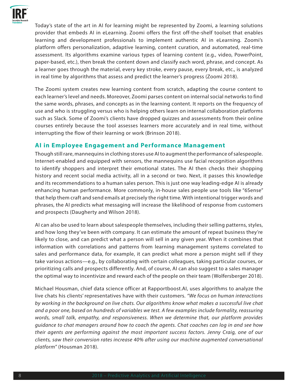

Today's state of the art in AI for learning might be represented by Zoomi, a learning solutions provider that embeds AI in eLearning. Zoomi offers the first off-the-shelf toolset that enables learning and development professionals to implement authentic AI in eLearning. Zoomi's platform offers personalization, adaptive learning, content curation, and automated, real-time assessment. Its algorithms examine various types of learning content (e.g., video, PowerPoint, paper-based, etc.), then break the content down and classify each word, phrase, and concept. As a learner goes through the material, every key stroke, every pause, every break, etc., is analyzed in real time by algorithms that assess and predict the learner's progress (Zoomi 2018).

The Zoomi system creates new learning content from scratch, adapting the course content to each learner's level and needs. Moreover, Zoomi parses content on internal social networks to find the same words, phrases, and concepts as in the learning content. It reports on the frequency of use and who is struggling versus who is helping others learn on internal collaboration platforms such as Slack. Some of Zoomi's clients have dropped quizzes and assessments from their online courses entirely because the tool assesses learners more accurately and in real time, without interrupting the flow of their learning or work (Brinson 2018).

#### **AI in Employee Engagement and Performance Management**

Though still rare, mannequins in clothing stores use AI to augment the performance of salespeople. Internet-enabled and equipped with sensors, the mannequins use facial recognition algorithms to identify shoppers and interpret their emotional states. The AI then checks their shopping history and recent social media activity, all in a second or two. Next, it passes this knowledge and its recommendations to a human sales person. This is just one way leading-edge AI is already enhancing human performance. More commonly, in-house sales people use tools like "6Sense" that help them craft and send emails at precisely the right time. With intentional trigger words and phrases, the AI predicts what messaging will increase the likelihood of response from customers and prospects (Daugherty and Wilson 2018).

AI can also be used to learn about salespeople themselves, including their selling patterns, styles, and how long they've been with company. It can estimate the amount of repeat business they're likely to close, and can predict what a person will sell in any given year. When it combines that information with correlations and patterns from learning management systems correlated to sales and performance data, for example, it can predict what more a person might sell if they take various actions—e.g., by collaborating with certain colleagues, taking particular courses, or prioritizing calls and prospects differently. And, of course, AI can also suggest to a sales manager the optimal way to incentivize and reward each of the people on their team (Wolfersberger 2018).

Michael Housman, chief data science officer at Rapportboost.AI, uses algorithms to analyze the live chats his clients' representatives have with their customers. *"We focus on human interactions by working in the background on live chats. Our algorithms know what makes a successful live chat and a poor one, based on hundreds of variables we test. A few examples include formality, reassuring words, small talk, empathy, and responsiveness. When we determine that, our platform provides guidance to chat managers around how to coach the agents. Chat coaches can log in and see how their agents are performing against the most important success factors. Jenny Craig, one of our clients, saw their conversion rates increase 40% after using our machine augmented conversational platform"* (Housman 2018).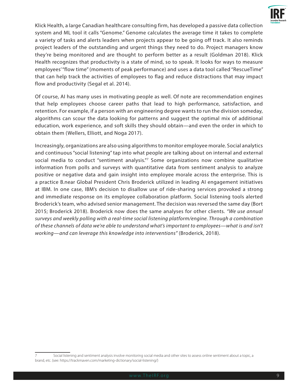

Klick Health, a large Canadian healthcare consulting firm, has developed a passive data collection system and ML tool it calls "Genome." Genome calculates the average time it takes to complete a variety of tasks and alerts leaders when projects appear to be going off track. It also reminds project leaders of the outstanding and urgent things they need to do. Project managers know they're being monitored and are thought to perform better as a result (Goldman 2018). Klick Health recognizes that productivity is a state of mind, so to speak. It looks for ways to measure employees' "flow time" (moments of peak performance) and uses a data tool called "RescueTime" that can help track the activities of employees to flag and reduce distractions that may impact flow and productivity (Segal et al. 2014).

Of course, AI has many uses in motivating people as well. Of note are recommendation engines that help employees choose career paths that lead to high performance, satisfaction, and retention. For example, if a person with an engineering degree wants to run the division someday, algorithms can scour the data looking for patterns and suggest the optimal mix of additional education, work experience, and soft skills they should obtain—and even the order in which to obtain them (Wellers, Elliott, and Noga 2017).

Increasingly, organizations are also using algorithms to monitor employee morale. Social analytics and continuous "social listening" tap into what people are talking about on internal and external social media to conduct "sentiment analysis."<sup>7</sup> Some organizations now combine qualitative information from polls and surveys with quantitative data from sentiment analysis to analyze positive or negative data and gain insight into employee morale across the enterprise. This is a practice B.near Global President Chris Broderick utilized in leading AI engagement initiatives at IBM. In one case, IBM's decision to disallow use of ride-sharing services provoked a strong and immediate response on its employee collaboration platform. Social listening tools alerted Broderick's team, who advised senior management. The decision was reversed the same day (Bort 2015; Broderick 2018). Broderick now does the same analyses for other clients. *"We use annual surveys and weekly polling with a real-time social listening platform/engine. Through a combination of these channels of data we're able to understand what's important to employees—what is and isn't working—and can leverage this knowledge into interventions"* (Broderick, 2018).

<sup>7</sup> Social listening and sentiment analysis involve monitoring social media and other sites to assess online sentiment about a topic, a brand, etc. (see: https://trackmaven.com/marketing-dictionary/social-listening/)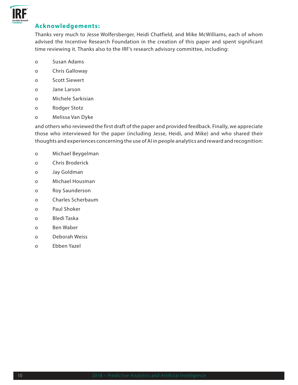

#### **Acknowledgements:**

Thanks very much to Jesse Wolfersberger, Heidi Chatfield, and Mike McWilliams, each of whom advised the Incentive Research Foundation in the creation of this paper and spent significant time reviewing it. Thanks also to the IRF's research advisory committee, including:

- o Susan Adams
- o Chris Galloway
- o Scott Siewert
- o Jane Larson
- o Michele Sarkisian
- o Rodger Stotz
- o Melissa Van Dyke

and others who reviewed the first draft of the paper and provided feedback. Finally, we appreciate those who interviewed for the paper (including Jesse, Heidi, and Mike) and who shared their thoughts and experiences concerning the use of AI in people analytics and reward and recognition:

- o Michael Beygelman
- o Chris Broderick
- o Jay Goldman
- o Michael Housman
- o Roy Saunderson
- o Charles Scherbaum
- o Paul Shoker
- o Bledi Taska
- o Ben Waber
- o Deborah Weiss
- o Ebben Yazel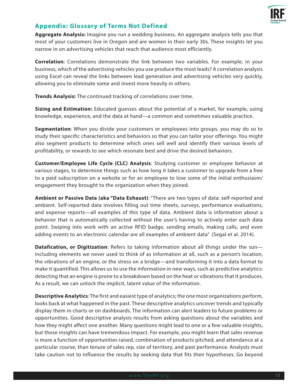

#### **Appendix: Glossary of Terms Not Defined**

**Aggregate Analysis:** Imagine you run a wedding business. An aggregate analysis tells you that most of your customers live in Oregon and are women in their early 30s. These insights let you narrow in on advertising vehicles that reach that audience most efficiently.

**Correlation**: Correlations demonstrate the link between two variables. For example, in your business, which of the advertising vehicles you use produce the most leads? A correlation analysis using Excel can reveal the links between lead generation and advertising vehicles very quickly, allowing you to eliminate some and invest more heavily in others.

**Trends Analysis:** The continued tracking of correlations over time.

**Sizing and Estimation:** Educated guesses about the potential of a market, for example, using knowledge, experience, and the data at hand—a common and sometimes valuable practice.

**Segmentation**: When you divide your customers or employees into groups, you may do so to study their specific characteristics and behaviors so that you can tailor your offerings. You might also segment products to determine which ones sell well and identify their various levels of profitability, or rewards to see which resonate best and drive the desired behaviors.

**Customer/Employee Life Cycle (CLC) Analysis**: Studying customer or employee behavior at various stages, to determine things such as how long it takes a customer to upgrade from a free to a paid subscription on a website or for an employee to lose some of the initial enthusiasm/ engagement they brought to the organization when they joined.

**Ambient or Passive Data (aka "Data Exhaust)**: "There are two types of data: self-reported and ambient. Self-reported data involves filling out time sheets, surveys, performance evaluations, and expense reports—all examples of this type of data. Ambient data is information about a behavior that is automatically collected without the user's having to actively enter each data point. Swiping into work with an active RFID badge, sending emails, making calls, and even adding events to an electronic calendar are all examples of ambient data" (Segal et al. 2014).

**Datafication, or Digitization**: Refers to taking information about all things under the sun including elements we never used to think of as information at all, such as a person's location, the vibrations of an engine, or the stress on a bridge—and transforming it into a data format to make it quantified. This allows us to use the information in new ways, such as predictive analytics: detecting that an engine is prone to a breakdown based on the heat or vibrations that it produces. As a result, we can unlock the implicit, latent value of the information.

**Descriptive Analytics**: The first and easiest type of analytics; the one most organizations perform, looks back at what happened in the past. These descriptive analytics uncover trends and typically display them in charts or on dashboards. The information can alert leaders to future problems or opportunities. Good descriptive analysis results from asking questions about the variables and how they might affect one another. Many questions might lead to one or a few valuable insights, but those insights can have tremendous impact. For example, you might learn that sales revenue is more a function of opportunities raised, combination of products pitched, and attendance at a particular course, than tenure of sales rep, size of territory, and past performance. Analysts must take caution not to influence the results by seeking data that fits their hypotheses. Go beyond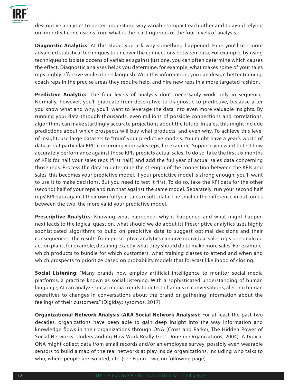

descriptive analytics to better understand why variables impact each other and to avoid relying on imperfect conclusions from what is the least rigorous of the four levels of analysis.

**Diagnostic Analytics**: At this stage, you ask why something happened. Here you'll use more advanced statistical techniques to uncover the connections between data. For example, by using techniques to isolate dozens of variables against just one, you can often determine which causes the effect. Diagnostic analyses helps you determine, for example, what makes some of your sales reps highly effective while others languish. With this information, you can design better training, coach reps in the precise areas they require help, and hire new reps in a more targeted fashion.

**Predictive Analytics**: The four levels of analysis don't necessarily work only in sequence. Normally, however, you'll graduate from descriptive to diagnostic to predictive, because after you know what and why, you'll want to leverage the data into even more valuable insights. By running your data through thousands, even millions of possible connections and correlations, algorithms can make startlingly accurate projections about the future. In sales, this might include predictions about which prospects will buy what products, and even why. To achieve this level of insight, use large datasets to "train" your predictive models. You might have a year's worth of data about particular KPIs concerning your sales reps, for example. Suppose you want to test how accurately performance against those KPIs predicts actual sales. To do so, take the first six months of KPIs for half your sales reps (first half) and add the full year of actual sales data concerning those reps. Process the data to determine the strength of the connection between the KPIs and sales, this becomes your predictive model. If your predictive model is strong enough, you'll want to use it to make decisions. But you need to test it first. To do so, take the KPI data for the other (second) half of your reps and run that against the same model. Separately, run your second half reps' KPI data against their own full year sales results data. The smaller the difference in outcomes between the two, the more valid your predictive model.

**Prescriptive Analytics**: Knowing what happened, why it happened and what might happen next leads to the logical question, what should we do about it? Prescriptive analytics uses highly sophisticated algorithms to build on predictive data to suggest optimal decisions and their consequences. The results from prescriptive analytics can give individual sales reps personalized action plans, for example, detailing exactly what they should do to make more sales. For example, which products to bundle for which customers, what training classes to attend and when and which prospects to prioritize based on probability models that forecast likelihood of closing.

**Social Listening**: "Many brands now employ artificial intelligence to monitor social media platforms, a practice known as social listening. With a sophisticated understanding of human language, AI can analyze social media trends to detect changes in conversations, alerting human operatives to changes in conversations about the brand or gathering information about the feelings of their customers." (Digiday; sysomos, 2017)

**Organizational Network Analysis (AKA Social Network Analysis)**: For at least the past two decades, organizations have been able to gain deep insight into the way information and knowledge flows in their organizations through ONA (Cross and Parker, The Hidden Power of Social Networks: Understanding How Work Really Gets Done in Organizations, 2004). A typical ONA might collect data from email records and/or an employee survey, possibly even wearable sensors to build a map of the real networks at play inside organizations, including who talks to who, where people are isolated, etc. (see Figure Two, on following page)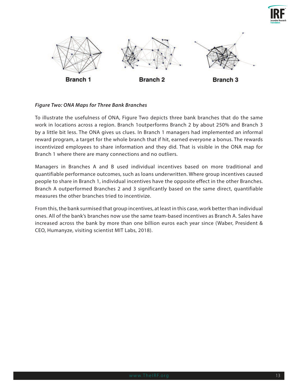



#### *Figure Two: ONA Maps for Three Bank Branches*

To illustrate the usefulness of ONA, Figure Two depicts three bank branches that do the same work in locations across a region. Branch 1outperforms Branch 2 by about 250% and Branch 3 by a little bit less. The ONA gives us clues. In Branch 1 managers had implemented an informal reward program, a target for the whole branch that if hit, earned everyone a bonus. The rewards incentivized employees to share information and they did. That is visible in the ONA map for Branch 1 where there are many connections and no outliers.

Managers in Branches A and B used individual incentives based on more traditional and quantifiable performance outcomes, such as loans underwritten. Where group incentives caused people to share in Branch 1, individual incentives have the opposite effect in the other Branches. Branch A outperformed Branches 2 and 3 significantly based on the same direct, quantifiable measures the other branches tried to incentivize.

From this, the bank surmised that group incentives, at least in this case, work better than individual ones. All of the bank's branches now use the same team-based incentives as Branch A. Sales have increased across the bank by more than one billion euros each year since (Waber, President & CEO, Humanyze, visiting scientist MIT Labs, 2018).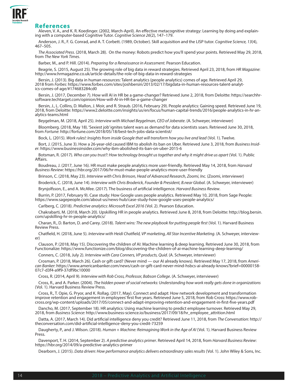

#### **References**

Aleven, V. A., and K. R. Koedinger. (2002, March-April). An effective metacognitive strategy: Learning by doing and explaining with a computer-based Cognitive Tutor. *Cognitive Science 26*(2), 147–179.

Anderson, J. R., F. G. Conrad, and A. T. Corbett. (1989, October). Skill acquisition and the LISP tutor. *Cognitive Science, 13*(4), 467–505.

*The Associated Press*. (2018, March 28). On the money: Robots predict how you'll spend your points. Retrieved May 29, 2018, from *The New York Times*.

Barber, M., and P. Hill. (2014). *Preparing for a Renaissance in Assessment.* Pearson Education.

Beagrie, S. (2015, August 25). The growing role of big data in reward strategies. Retrieved April 23, 2018, from *HR Magazine*: http://www.hrmagazine.co.uk/article-details/the-role-of-big-data-in-reward-strategies

Bersin, J. (2013). Big data in human resources: Talent analytics (people analytics) comes of age. Retrieved April 29, 2018 from *Forbes*: https://www.forbes.com/sites/joshbersin/2013/02/17/bigdata-in-human-resources-talent-analytics-comes-of-age/#174683284cd0

Bersin, J. (2017, December 7). How will AI in HR be a game-changer? Retrieved June 2, 2018, from Deloitte: https://searchhrsoftware.techtarget.com/opinion/How-will-AI-in-HR-be-a-game-changer

Bersin, J., L. Collins, D. Mallon, J. Moir, and R. Straub. (2016, February 29). People analytics: Gaining speed. Retrieved June 19, 2018, from Deloitte: https://www2.deloitte.com/insights/us/en/focus/human-capital-trends/2016/people-analytics-in-hr-analytics-teams.html

Beygelman, M. (2018, April 25). *Interview with Michael Beygelman, CEO of Joberate*. (A. Schweyer, interviewer)

Bloomberg. (2018, May 18). 'Sexiest job' ignites talent wars as demand for data scientists soars. Retrieved June 30, 2018, from *Fortune*: http://fortune.com/2018/05/18/best-tech-jobs-data-scientist/

Bock, L. (2015). *Work rules!: Insights from inside Google that will transform how you live and lead* (Vol. 1). Twelve.

Bort, J. (2015, June 3). How a 26-year-old caused IBM to abolish its ban on Uber. Retrieved June 3, 2018, from *Business Inside*r: https://www.businessinsider.com/why-ibm-abolished-its-ban-on-uber-2015-6

Botsman, R. (2017). *Who can you trust?: How technology brought us together and why it might drive us apart* (Vol. 1). Public Affairs.

Boudreau, J. (2017, June 16). HR must make people analytics more user-friendly. Retrieved May 14, 2018, from *Harvard Business Review*: https://hbr.org/2017/06/hr-must-make-people-analytics-more-user-friendly

Brinson, C. (2018, May 23). *Interview with Chris Brinson, Head of Advanced Research, Zoomi, Inc.* (Zoomi, interviewer)

Broderick, C. (2018, June 14). *Interview with Chris Broderick, Founder & President, B.near Global*. (A. Schweyer, interviewer)

Brynjolfsson, E., and A. McAfee. (2017). The business of artificial intelligence. *Harvard Business Review*.

Burrin, P. (2017, February 9). Case study: How Google uses people analytics. Retrieved May 10, 2018, from Sage People: https://www.sagepeople.com/about-us/news-hub/case-study-how-google-uses-people-analytics/

Carlberg, C. (2018). *Predictive analytics: Microsoft Excel 2016* (Vol. 2). Pearson Education.

Chakrabarti, M. (2018, March 20). Upskilling HR in people analytics. Retrieved June 8, 2018, from Deloitte: http://blog.bersin. com/upskilling-hr-in-people-analytics/

Charan, R., D. Barton, D. and Carey. (2018). *Talent wins: The new playbook for putting people first* (Vol. 1). Harvard Business Review Press.

Chatfield, H. (2018, June 5). *Interview with Heidi Chatfield, VP marketing, All Star Incentive Marketing*. (A. Schweyer, interviewer)

Clauson, P. (2018, May 15). Discovering the children of AI: Machine learning & deep learning. Retrieved June 30, 2018, from Functionalize: https://www.functionize.com/blog/discovering-the-children-of-ai-machine-learning-deep-learning/

Conners, C. (2018, July 2). *Interview with Cara Conners, VP products, Quid*. (A. Schweyer, interviewer)

Crosman, P. (2018, March 26). Cash or gift card? (Never mind — our Al already knows). Retrieved May 17, 2018, from Americanbanker.com/news/cash-or-gift-card-never-mind-hsbcs-ai-already-knows?brief=00000158-can Banker.chttp 07c7-d3f4-a9f9-37df9bc10000

Cross, R. (2014, April 9). *Interview with Rob Cross, Professor, Babson College*. (A. Schweyer, interviewer)

Cross, R., and A. Parker. (2004). *The hidden power of social networks: Understanding how work really gets done in organizations*  (Vol. 1). Harvard Business Review Press.

Cross, R., T. Opie, G. Pryor, and K. Rollag. (2017, May). Connect and adapt: How network development and transformation improve retention and engagement in employees' first five years. Retrieved June 5, 2018, from Rob Cross: https://www.rob-<br>cross.org/wp-content/uploads/2017/05/connect-and-adapt-improving-retention-and-engagement-in-first-f

Dancho, M. (2017, September 18). HR analytics: Using machine learning to predict employee turnover. Retrieved May 29, 2018, from *Business Science*: http://www.business-science.io/business/2017/09/18/hr\_employee\_attrition.html

Datta, A. (2017, March 14). Did artificial intelligence deny you credit? Retrieved June 11, 2018, from *The Conversation*: http:// theconversation.com/did-artificial-intelligence-deny-you-credit-73259

Daugherty, P., and J. Wilson. (2018). *Human + Machine: Reimagining Work in the Age of AI* (Vol. 1). Harvard Business Review Press.

Davenport, T. H. (2014, September 2). *A predictive analytics primer*. Retrieved April 14, 2018, from *Harvard Business Review*: https://hbr.org/2014/09/a-predictive-analytics-primer

Dearborn, J. (2015). *Data driven: How performance analytics delivers extraordinary sales results* (Vol. 1). John Wiley & Sons, Inc.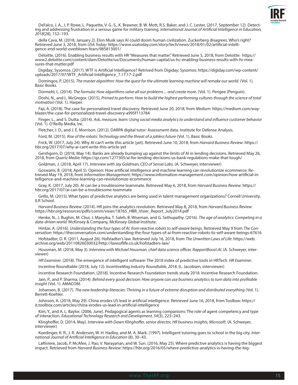

DeFalco, J. A., J. P. Rowe, L. Paquette, V. G.-S., K. Brawner, B. W. Mott, R.S. Baker, and J. C. Lester. (2017, September 12). Detecting and addressing frustration in a serious game for military training. *International Journal of Artificial Intelligence in Education, 2018*(28), 152–193.

della Cava, M. (2018, January 2). Elon Musk says AI could doom human civilization. Zuckerberg disagrees. Who's right? Retrieved June 3, 2018, from *USA Today*: https://www.usatoday.com/story/tech/news/2018/01/02/artificial-intelligence-end-world-overblown-fears/985813001/

Deloitte. (2016). Enabling business results with HR "Measures that matter." Retrieved June 5, 2018, from Deloitte: https:// www2.deloitte.com/content/dam/Deloitte/us/Documents/human-capital/us-hc-enabling-business-results-with-hr-measures-that-matter.pdf

Digiday; Sysomos. (2017). WTF is Artificial Intelligence? Retrived from Digiday; Sysomos: https://digiday.com/wp-content/ uploads/2017/07/WTF\_Artificial-Intelligence\_7.17.17-2.pdf

Domingos, P. (2015). *The master algorithm: How the quest for the ultimate learning machine will remake our world.* (Vol. 1). Basic Books.

Dormehl, L. (2014). *The formula: How algorithms solve all our problems ... and create more.* (Vol. 1). Perigee (Penguin).

Doshi, N., and L. McGregor. (2015). *Primed to perform: How to build the highest performing cultures through the science of total motivation* (Vol. 1). Harper.

Faji, A. (2018). The case for personalized travel discovery. Retrieved June 20, 2018, from *Medium*: https://medium.com/way- blazer/the-case-for-personalized-travel-discovery-a995f113784

Finger, L., and S. Dutta. (2014). *Ask, measure, learn: Using social media analytics to understand and influence customer behavior* (Vol. 1). O'Reilly Media, Inc.

Fletcher, J. D., and J. E. Morrison. (2012). DARPA digital tutor: Assessment data*.* Institute for Defense Analysis.

Ford, M. (2015). *Rise of the robots: Technology and the threat of a jobless future* (Vol. 1). Basic Books.

Frick, W. (2017, July 24). Why AI can't write this article (yet). Retrieved June 10, 2018, from *Harvard Business Review*: https:// hbr.org/2017/07/why-ai-cant-write-this-article-yet

Gershgorn, D. (2018, May 14). Banks are already bumping up against the limits of AI in lending decisions. Retrieved May 26, 2018, from *Quartz Media*: https://qz.com/1277305/ai-for-lending-decisions-us-bank-regulations-make-that-tough/

Goldman, J. (2018, April 17). *Interview with Jay Goldman, CEO of Sensei Labs*. (A. Schweyer, interviewer)

Goswami, B. (2018, April 5). Opinion: How artificial intelligence and machine learning can revolutionize ecommerce. Retrieved May 19, 2018, from *Information Management*: https://www.information-management.com/opinion/how-

Gray, K. (2017, July 20). AI can be a troublesome teammate. Retrieved May 6, 2018, from *Harvard Business Review*: https:// hbr.org/2017/07/ai-can-be-a-troublesome-teammate

Grillo, M. (2015). What types of predictive analytics are being used in talent management organizations? Cornell University, ILR School.

*Harvard Business Review*. (2014). HR joins the analytics revolution. Retrieved May 8, 2018, from *Harvard Business Review*: https://hbr.org/resources/pdfs/comm/visier/18765\_HBR\_Visier\_Report\_July2014.pdf

Henke, N., J. Bughin, M. Chui, J. Manyika, T. Saleh, B. Wiseman, and G. Sethupathy. (2016). *The age of analytics: Competing in a data-driven world.* McKinsey & Company, McKinsey Global Institute.

Hintze, A. (2016). Understanding the four types of AI, from reactive robots to self-aware beings. Retrieved May 9 from The Con-<br>versation: https://theconversation.com/understanding-the-four-types-of-ai-from-reactive-robots

Hofstadter, D. R. (2011, August 26). Hofstadter's law. Retrieved July 16, 2018, from *The Unwritten Laws of Life*: https://web. archive.org/web/20110826030032/http://lawsoflife.co.uk/hofstadters-law/

Housman, M. (2018, May 3). *Interview with Michael Housman, chief data science officer, RapportBoost.AI*. (A. Schweyer, interviewer)

*HR Examiner*. (2018). The emergence of intelligent software: The 2018 index of predictive tools in HRTech. *HR Examiner*.

Incentive Roundtable (2018, July 12). *IncentiveMag Industry Roundtable, 2018*. (L. Jacobsen, interviewer)

Incentive Research Foundation. (2018). Incentive Research Foundation trends study 2018. Incentive Research Foundation.

Jain, P., and P. Sharma. (2014). *Behind every good decision: How anyone can use business analytics to turn data into profitable insight* (Vol. 1). AMACOM.

Johansen, B. (2017). *The new leadership literacies: Thriving in a future of extreme disruption and distributed everything* (Vol. 1). Berrett-Koehler.

Johnson, A. (2018, May 29). China erodes US lead in artificial intelligence. Retrieved June 16, 2018, from Toolbox: https:// it.toolbox.com/articles/china-erodes-us-lead-in-artificial-intelligence

Kim, Y., and A. L. Baylor. (2006, June). Pedagogical agents as learning companions: The role of agent competency and type of interaction. *Educational Technology Research and Development, 54*(3), 223–243.

Klinghoffer, D. (2014, May). *Interview with Dawn Klinghoffer, senior director, HR business insights, Microsoft*. (A. Schweyer, interviewer)

Koedinger, K. R., J. R. Anderson, W. H. Hadley, and M. A. Mark. (1997). Intelligent tutoring goes to school in the big city. *International Journal of Artificial Intelligence in Education* (8), 30–43.

LaRiviere, Jacob, P. McAfee, J. Rao, V. Narayanan, and W. Sun. (2016, May 25). Where predictive analytics is having the biggest impact. Retrieved from *Harvard Business Review*: https://hbr.org/2016/05/where-predictive-analytics-is-having-the-big-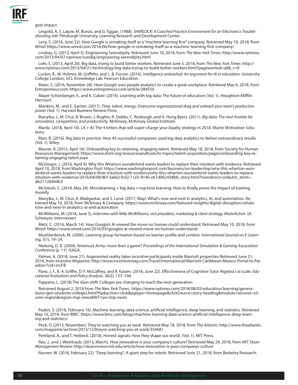

gest-impact

Lesgold, A, S. Lajoie, M. Bunzo, and G. Eggan. (1988). *SHERLOCK: A Coached Practice Environment for an Electronics Troubleshooting Job.* Pittsburgh University, Learning Research and Development Center.

Levy, S. (2016, June 22). How Google is remaking itself as a "machine learning first" company. Retrieved May 10, 2018, from *Wired*: https://www.wired.com/2016/06/how-google-is-remaking-itself-as-a-machine-learning-first-company/

Lindsay, G. (2013, April 5). Engineering Serendipity. Retrieved June 10, 2018, from *The New York Times*: http://www.nytimes. com/2013/04/07/opinion/sunday/engineering-serendipity.html

Lohr, S. (2013, April 20). Big data, trying to build better workers. Retrieved June 5, 2018, from *The New York Times*: http:// www.nytimes.com/2013/04/21/technology/big-data-trying-to-build-better-workers.html?pagewanted=all&\_r=0

Luckin, R., W. Holmes, M. Griffiths, and L. B. Forcier. (2016). *Intelligence unleashed: An argument for AI in education.* University College London, UCL Knowledge Lab. Pearson Education.

Maier, S. (2016, November 28). How Google uses people analytics to create a great workplace. Retrieved May 6, 2018, from Entrepreneur.com: https://www.entrepreneur.com/article/284550

Mayer-Schönberger, V., and K. Cukier. (2014). Learning with big data: The future of education (Vol. 1). Houghton-Mifflin Harcourt.

Mankins, M., and E. Garton. (2017). *Time, talent, energy: Overcome organizational drag and unleash your team's productive power* (Vol. 1). Harvard Business Review Press.

Manyika, J., M. Chui, B. Brown, J. Bughin, R. Dobbs, C. Roxburgh, and A. Hung Byers. (2011). *Big data: The next frontier for innovation, competition, and productivity.* McKinsey, McKinsey Global Institute.

Maritz. (2018, April 10). LX + AI: The 4 letters that will super-charge your loyalty strategy in 2018. Maritz Motivation Solutions.

Marr, B. (2016). Big data in practice: How 45 successful companies used big data analytics to deliver extraordinary results (Vol. 1). Wiley.

Maurer, R. (2015, April 16). Onboarding key to retaining, engaging talent. Retrieved May 18, 2018, from Society for Human Resources Management: https://www.shrm.org/resourcesandtools/hr-topics/talent-acquisition/pages/onboarding-key-retaining-engaging-talent.aspx

McGregor, J. (2016, April 9). Why this Wharton wunderkind wants leaders to replace their intuition with evidence. Retrieved April 10, 2018, from Washington Post: https://www.washingtonpost.com/business/on-leadership/why-this-wharton-wunderkind-wants-leaders-to-replace-their-intuition-with-evidencewhy-this-wharton-wunderkind-wants-leaders-to-replaceintuition-with-evidence/2016/04/08/8013a662-fc02-11e5-9140-e61d062438bb\_story.html?noredirect=on&utm\_term=. db21126944b3

McIntosh, C. (2018, May 24). Microlearning + big data + machine learning: How to finally prove the impact of training. Axonify.

Manyika, J., M. Chui, A. Madgavkar, and S. Lund. (2017, May). What's now and next in analytics, AI, and automation. Retrieved May 10, 2018, from McKinsey & Company: https://www.mckinsey.com/featured-insights/digital-disruption/whatsnow-and-next-in-analytics-ai-and-automation

McWilliams, M. (2018, June 5). *Interview with Mike McWilliams, vice president, marketing & client strategy, MotivAction*. (A. Schweyer, interviewer)

Metz, C. (2016, March 14). How Google's AI viewed the move no human could understand. Retrieved May 10, 2018, from *Wired*: https://www.wired.com/2016/03/googles-ai-viewed-move-no-human-understand/

Muehlenbrock, M. (2006). Learning group formation based on learner profile and context. *International Journal on E-Learning, 5*(1), 19–24.

Nieborg, D. B. (2004). America's Army: more than a game? *Proceedings of the International Simulation & Gaming Association Conference* (p. 11). ISAGA.

Palmer, A. (2018, June 21). Augmented reality takes incentive participants inside Marriott properties Retrieved June 21, 2018, from *Incentive Magazine*: http://www.incentivemag.com/Travel/International/Marriott-Caribbean-Mexico-Portal-to-Paradise/?cid=incFB

Pane, J. F., B. A. Griffin, D. F. McCaffrey, and R. Karam. (2016, June 22). Effectiveness of Cognitive Tutor Algebra I at scale. *Edu- cational Evaluation and Policy Analysis, 36*(2), 127–144.

Pappano, L. (2018) The iGen shift: Colleges are changing to reach the next generation

Retrieved August 2, 2018 from *The New York Times*: https://www.nytimes.com/2018/08/02/education/learning/generationz-igen-students-colleges.html?hp&action=click&pgtype=Homepage&clickSource=story-heading&module=second-column-region&region=top-news&WT.nav=top-news

Paskin, S. (2018, February 16). Machine learning, data science, artificial intelligence, deep learning, and statistics. Retrieved May 10, 2018, from BMC: https://www.bmc.com/blogs/machine-learning-data-science-artificial-intelligence-deep-learning-and-statistics/

Peck, D. (2013, November). They're watching you at work. Retrieved May 18, 2018, from *The Atlantic*: http://www.theatlantic. com/magazine/archive/2013/12/theyre-watching-you-at-work/354681

Pentland, A., and T. Heibeck. (2010). Honest signals: How they shape our world. (Vol. 1). MIT Press.

Rao, J., and J. Weintraub. (2013, March). How innovative is your company's culture? Retrieved May 29, 2018, from *MIT Sloan Management Review*: http://sloanreview.mit.edu/article/how-innovative-is-your-companys-culture

Ravven, W. (2016, February 22). "Deep learning": A giant step for robots. Retrieved June 21, 2018, from Berkeley Research: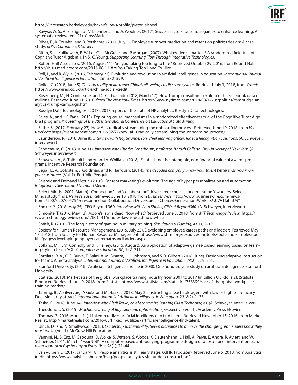

https://vcresearch.berkeley.edu/bakarfellows/profile/pieter\_abbeel

Ravyse, W. S., A. S. Blignaut, V. Leendertz, and A. Woolner. (2017). Success factors for serious games to enhance learning: A systematic review (Vol. 21). CrossMark.

Ribes, E., K. Touahri, and B. Perthame. (2017, July 5). Employee turnover prediction and retention policies design: A case study. *arXiv: Computers & Society*

Ritter, S., J. Kulikowich, P.-W. Lei, C. L. McGuire, and P. Morgan. (2007). What evidence matters? A randomized field trial of Cognitive Tutor Algebra 1. In S.-C. Young, *Supporting Learning Flow Through Integrative Technologies.*

Robert Half Associates. (2016, August 11). Are you taking too long to hire? Retrieved October 29, 2016, from Robert Half: http://rh-us.mediaroom.com/2016-08-11-Are-You-Taking-Too-Long-To-Hire

Roll, I., and R. Wylie. (2016, February 22). Evolution and revolution in artificial intelligence in education. *International Journal of Artificial Intelligence in Education* (26), 582–599.

Rollet, C. (2018, June 5). *The odd reality of life under China's all-seeing credit score system*. Retrieved July 3, 2018, from *Wired*: https://www.wired.co.uk/article/china-social-credit

Rosenberg, M., N. Confessore, and C. Cadwalladr. (2018, March 17). How Trump consultants exploited the Facebook data of millions. Retrieved June 11, 2018, from *The New York Times*: https://www.nytimes.com/2018/03/17/us/politics/cambridge-an- alytica-trump-campaign.html

Rosslyn Data Technologies. (2017). 2017 report on the state of HR analytics. Rosslyn Data Technologies.

Sales, A., and J. F. Pane. (2015). Exploring causal mechanisms in a randomized effectiveness trial of the Cognitive Tutor Algebra I program. *Proceedings of the 8th International Conference on Educational Data Mining.*

Sathe, S. (2017, February 27). How AI is radically streamlining the onboarding process. Retrieved June 19, 2018, from *VentureBeat*: https://venturebeat.com/2017/02/27/how-ai-is-radically-streamlining-the-onboarding-process/

Saunderson, R. (2018, June 8). *Interview with Roy Saunderson, chief learning officer, Rideau Recognition Solutions*. (A. Schweyer, interviewer)

Scherbaum, C. (2018, June 11). *Interview with Charles Scherbaum, professor, Baruch College, City University of New York*. (A. Schweyer, interviewer)

Schweyer, A., A. Thibault Landry, and A. Whillans. (2018). Establishing the intangible, non-financial value of awards pro- grams. Incentive Research Foundation.

Segal, L., A. Goldstein, J. Goldman, and R. Harfoush. (2014). *The decoded company: Know your talent better than you know your customers* (Vol. 1). Portfolio Penguin.

Seismic and Demand Metric. (2016). Content marketing's evolution: The age of hyper-personalization and automation. *Infographic, Seismic and Demand Metric*.

Select Minds. (2007, March). "Connection" and "collaboration" drive career choices for generation Y workers, Select-<br>Minds study finds. News release. Retrieved June 10, 2018, from Business Wire: http://www.businesswire.com home/20070207005756/en/Connection-Collaboration-Drive-Career-Choices-Generation-Workers#.U7VTfahhtMY

Shoker, P. (2018, May 25). CEO Beyond 360. *Interview with Paul Shoker, CEO of Beyond360*. (A. Schweyer, interviewer)

Simonite, T. (2016, May 13). Moore's law is dead. Now what? Retrieved June 5, 2018, from *MIT Technology Review*: https:// www.technologyreview.com/s/601441/moores-law-is-dead-now-what/

Smith, R. (2010). The long history of gaming in military training. *Simulation & Gaming, 41*(1), 6–19.

Society for Human Resource Management. (2015, July 23). Developing employee career paths and ladders. Retrieved May 17, 2018, from Society for Human Resource Management: https://www.shrm.org/resourcesandtools/tools-and-samples/toolkits/pages/developingemployeecareerpathsandladders.aspx

Soflano, M., T. M. Connolly, and T. Hainey. (2015, August). An application of adaptive games-based learning based on learning style to teach SQL. *Computers & Education, 86*, 192–211.

Sottilare, R. A., C. S. Burke, E. Salas, A. M. Sinatra, J. H. Johnston, and S. B. Gilbert. (2018, June). Designing adaptive instruction for teams: A meta-analysis. *International Journal of Artificial Intelligence in Education, 28*(2), 225–264.

Stanford University. (2016). Artificial intelligence and life in 2030: One hundred year study on artificial intelligence. Stanford University.

Statista. (2018). Market size of the global workplace training industry from 2007 to 2017 (in billion U.S. dollars). (Statista, Producer) Retrieved June 9, 2018, from Statista: https://www.statista.com/statistics/738399/size-of-the-global-workplacetraining-market/

Tarning, B., A Silvervarg, A Gulz, and M. Haake. (2018, May 2). Instructing a teachable agent with low or high self-efficacy – Does similarity attract? *International Journal of Artificial Intelligence in Education, 2018*(2), 1–33.

Taska, B. (2018, June 14). *Interview with Bledi Taska, chief economist, Burning Glass Technologies*. (A. Schweyer, interviewer)

Theodoridis, S. (2015). *Machine learning: A Bayesian and optimization perspective* (Vol. 1). Academic Press Elsevier.

Thomas, P. (2016, March 11). LinkedIn utilizes artificial intelligence to find talent. Retrieved November 15, 2016, from Market Realist: http://marketrealist.com/2016/03/linkedin-utilizes-artificial-intelligence-find-talent/

Ulrich, D., and N. Smallwood. (2013). *Leadership sustainability: Seven disciplines to achieve the changes great leaders know they must make* (Vol. 1). McGraw-Hill Education.

Vannini, N., S. Enz, M. Sapouna, D. Wolke, S. Watson, S. Woods, K. Dautenhahn, L. Hall, A. Paiva, E. Andre, R. Aylett, and W. Schneider. (2011, March). "FearNot!": A computer-based anti-bullying-programme designed to foster peer intervention. *European Journal of Psychology of Education, 26*(1), 21–44.

van Vulpen, E. (2017, January 18). People analytics is still early stage. (AIHR, Producer) Retrieved June 6, 2018, from Analytics in HR: https://www.analyticsinhr.com/blog/people-analytics-still-under-construction/